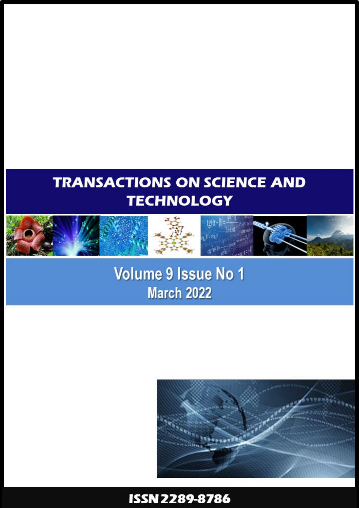# **TRANSACTIONS ON SCIENCE AND TECHNOLOGY**









**Volume 9 Issue No 1 March 2022** 



# ISSN 2289-8786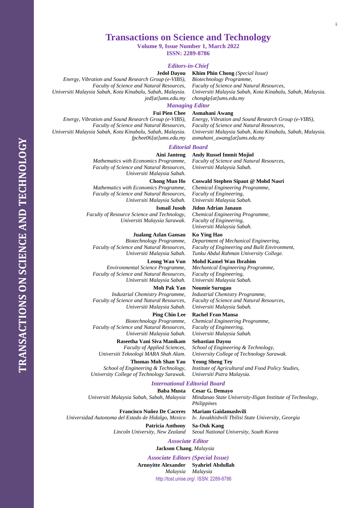## **Transactions on Science and Technology**

**Volume 9, Issue Number 1, March 2022**

**ISSN: 2289-8786**

#### *Editors-in-Chief*

**Jedol Dayou**

*Energy, Vibration and Sound Research Group (e-VIBS), Faculty of Science and Natural Resources, Universiti Malaysia Sabah, Kota Kinabalu, Sabah, Malaysia. jed[at]ums.edu.my* **Khim Phin Chong** *(Special Issue) Biotechnology Programme, Faculty of Science and Natural Resources, Universiti Malaysia Sabah, Kota Kinabalu, Sabah, Malaysia. chongkp[at]ums.edu.my*

*Energy, Vibration and Sound Research Group (e-VIBS),*

*Universiti Malaysia Sabah, Kota Kinabalu, Sabah, Malaysia.*

## *Managing Editor*

**Fui Pien Chee Asmahani Awang**

*Energy, Vibration and Sound Research Group (e-VIBS), Faculty of Science and Natural Resources, Universiti Malaysia Sabah, Kota Kinabalu, Sabah, Malaysia. fpchee06[at]ums.edu.my*

#### *Editorial Board*

#### **Aini Janteng Andy Russel Immit Mojiol**

*Universiti Malaysia Sabah.*

*Mathematics with Economics Programme, Faculty of Science and Natural Resources, Universiti Malaysia Sabah.*

#### **Chong Mun Ho**

*Mathematics with Economics Programme, Faculty of Science and Natural Resources, Universiti Malaysia Sabah.*

#### **Ismail Jusoh**

*Faculty of Resource Science and Technology, Universiti Malaysia Sarawak.*

#### **Jualang Azlan Gansau**

*Biotechnology Programme, Faculty of Science and Natural Resources, Universiti Malaysia Sabah.*

#### **Leong Wan Vun**

*Environmental Science Programme, Faculty of Science and Natural Resources, Universiti Malaysia Sabah.*

#### **Moh Pak Yan**

*Industrial Chemistry Programme, Faculty of Science and Natural Resources, Universiti Malaysia Sabah.*

## **Ping Chin Lee**

*Biotechnology Programme, Faculty of Science and Natural Resources, Universiti Malaysia Sabah.*

**Raseetha Vani Siva Manikam** *Faculty of Applied Sciences, Universiti Teknologi MARA Shah Alam.*

**Thomas Moh Shan Yau** *School of Engineering & Technology, University College of Technology Sarawak.*

#### *International Editorial Board*

**Baba Musta** *Universiti Malaysia Sabah, Sabah, Malaysia*

**Francisco Nuñez De Caceres** *Universidad Autonoma del Estado de Hidalgo, Mexico*

**Mariam Gaidamashvili** *Iv. Javakhishvili Tbilisi State University, Georgia*

*Mindanao State University-Iligan Institute of Technology,* 

**Patricia Anthony** *Lincoln University, New Zealand* **Sa-Ouk Kang** *Seoul National University, South Korea*

**Cesar G. Demayo**

*Philippines*

#### *Associate Editor*

**Jackson Chang**, *Malaysia*

 [http://tost.unise.org/.](http://tost.unise.org/) ISSN: 2289-8786 *Associate Editors (Special Issue)* **Arnnyitte Alexander** *Malaysia* **Syahriel Abdullah** *Malaysia*

*Faculty of Science and Natural Resources,*

*Faculty of Science and Natural Resources,*

**Coswald Stephen Sipaut @ Mohd Nasri** *Chemical Engineering Programme, Faculty of Engineering, Universiti Malaysia Sabah.*

*asmahani\_awang[at]ums.edu.my*

#### **Jidon Adrian Janaun**

*Chemical Engineering Programme, Faculty of Engineering, Universiti Malaysia Sabah.*

**Ko Ying Hao**

*Department of Mechanical Engineering, Faculty of Engineering and Built Environment, Tunku Abdul Rahman University College.*

#### **Mohd Kamel Wan Ibrahim**

*Mechanical Engineering Programme, Faculty of Engineering, Universiti Malaysia Sabah.*

#### **Noumie Surugau**

*Industrial Chemistry Programme, Faculty of Science and Natural Resources, Universiti Malaysia Sabah.*

## **Rachel Fran Mansa**

*Chemical Engineering Programme, Faculty of Engineering, Universiti Malaysia Sabah.*

**Sebastian Dayou** *School of Engineering & Technology, University College of Technology Sarawak.*

**Yeong Sheng Tey** *Institute of Agricultural and Food Policy Studies, Universiti Putra Malaysia.*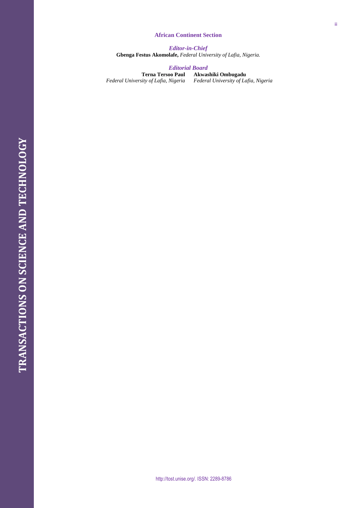#### **African Continent Section**

*Editor -in -Chief* **Gbenga Festus Akomolafe,** *Federal University of Lafia, Nigeria.*

### *Editorial Board*

**Terna Tersoo Paul** *Federal University of Lafia, Nigeria*

**Akwashiki Ombugadu**

*Federal University of Lafia, Nigeria*